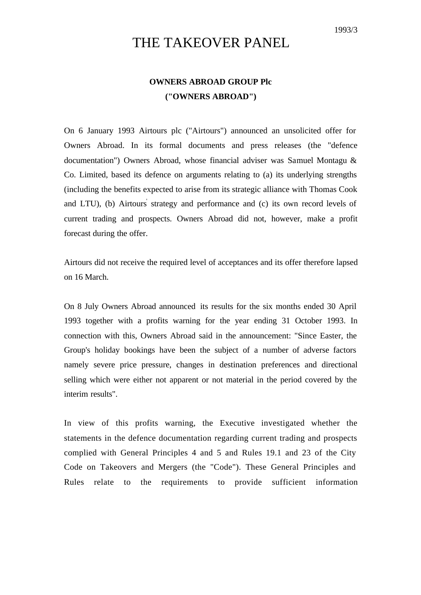# THE TAKEOVER PANEL

## **OWNERS ABROAD GROUP Plc ("OWNERS ABROAD")**

On 6 January 1993 Airtours plc ("Airtours") announced an unsolicited offer for Owners Abroad. In its formal documents and press releases (the "defence documentation") Owners Abroad, whose financial adviser was Samuel Montagu & Co. Limited, based its defence on arguments relating to (a) its underlying strengths (including the benefits expected to arise from its strategic alliance with Thomas Cook and LTU), (b) Airtours strategy and performance and (c) its own record levels of current trading and prospects. Owners Abroad did not, however, make a profit forecast during the offer.

Airtours did not receive the required level of acceptances and its offer therefore lapsed on 16 March.

On 8 July Owners Abroad announced its results for the six months ended 30 April 1993 together with a profits warning for the year ending 31 October 1993. In connection with this, Owners Abroad said in the announcement: "Since Easter, the Group's holiday bookings have been the subject of a number of adverse factors namely severe price pressure, changes in destination preferences and directional selling which were either not apparent or not material in the period covered by the interim results".

In view of this profits warning, the Executive investigated whether the statements in the defence documentation regarding current trading and prospects complied with General Principles 4 and 5 and Rules 19.1 and 23 of the City Code on Takeovers and Mergers (the "Code"). These General Principles and Rules relate to the requirements to provide sufficient information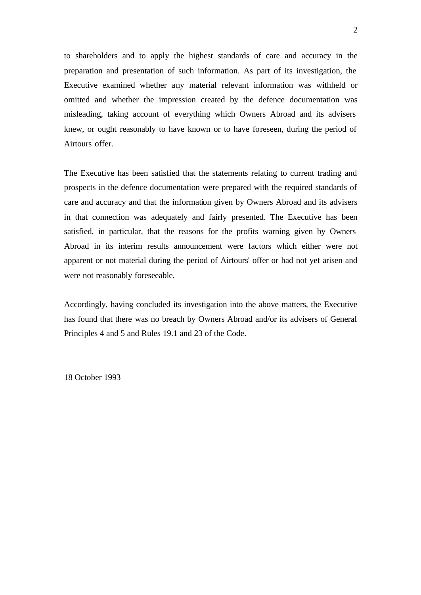to shareholders and to apply the highest standards of care and accuracy in the preparation and presentation of such information. As part of its investigation, the Executive examined whether any material relevant information was withheld or omitted and whether the impression created by the defence documentation was misleading, taking account of everything which Owners Abroad and its advisers knew, or ought reasonably to have known or to have foreseen, during the period of Airtours' offer.

The Executive has been satisfied that the statements relating to current trading and prospects in the defence documentation were prepared with the required standards of care and accuracy and that the information given by Owners Abroad and its advisers in that connection was adequately and fairly presented. The Executive has been satisfied, in particular, that the reasons for the profits warning given by Owners Abroad in its interim results announcement were factors which either were not apparent or not material during the period of Airtours' offer or had not yet arisen and were not reasonably foreseeable.

Accordingly, having concluded its investigation into the above matters, the Executive has found that there was no breach by Owners Abroad and/or its advisers of General Principles 4 and 5 and Rules 19.1 and 23 of the Code.

18 October 1993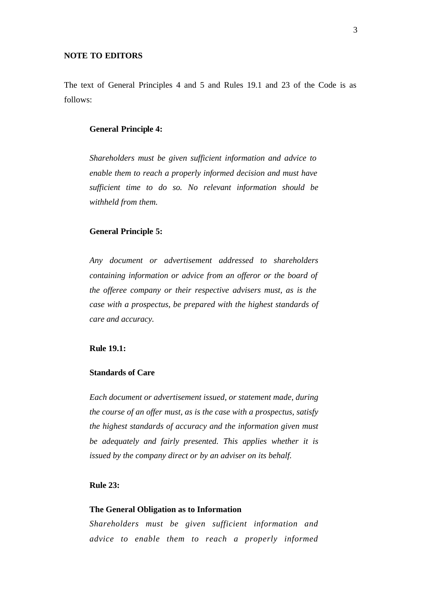#### **NOTE TO EDITORS**

The text of General Principles 4 and 5 and Rules 19.1 and 23 of the Code is as follows:

#### **General Principle 4:**

*Shareholders must be given sufficient information and advice to enable them to reach a properly informed decision and must have sufficient time to do so. No relevant information should be withheld from them.*

#### **General Principle 5:**

*Any document or advertisement addressed to shareholders containing information or advice from an offeror or the board of the offeree company or their respective advisers must, as is the case with a prospectus, be prepared with the highest standards of care and accuracy.*

#### **Rule 19.1:**

#### **Standards of Care**

*Each document or advertisement issued, or statement made, during the course of an offer must, as is the case with a prospectus, satisfy the highest standards of accuracy and the information given must be adequately and fairly presented. This applies whether it is issued by the company direct or by an adviser on its behalf.*

### **Rule 23:**

#### **The General Obligation as to Information**

*Shareholders must be given sufficient information and advice to enable them to reach a properly informed*